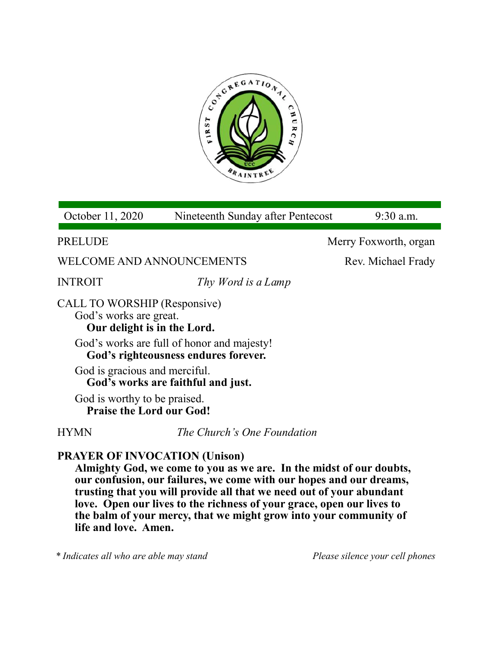

October 11, 2020 Nineteenth Sunday after Pentecost 9:30 a.m.

WELCOME AND ANNOUNCEMENTS Rev. Michael Frady

INTROIT *Thy Word is a Lamp* 

CALL TO WORSHIP (Responsive) God's works are great. **Our delight is in the Lord.**

God's works are full of honor and majesty! **God's righteousness endures forever.**

God is gracious and merciful. **God's works are faithful and just.**

God is worthy to be praised. **Praise the Lord our God!**

HYMN *The Church's One Foundation*

# **PRAYER OF INVOCATION (Unison)**

**Almighty God, we come to you as we are. In the midst of our doubts, our confusion, our failures, we come with our hopes and our dreams, trusting that you will provide all that we need out of your abundant love. Open our lives to the richness of your grace, open our lives to the balm of your mercy, that we might grow into your community of life and love. Amen.**

*\* Indicates all who are able may stand Please silence your cell phones*

PRELUDE Merry Foxworth, organ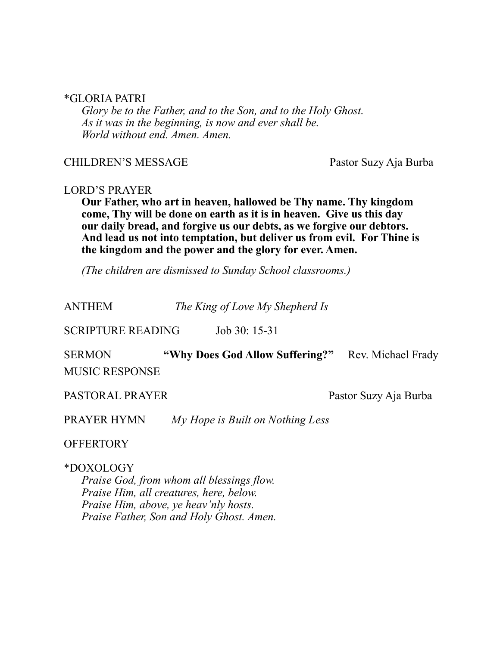#### \*GLORIA PATRI

*Glory be to the Father, and to the Son, and to the Holy Ghost. As it was in the beginning, is now and ever shall be. World without end. Amen. Amen.* 

CHILDREN'S MESSAGE Pastor Suzy Aja Burba

### LORD'S PRAYER

**Our Father, who art in heaven, hallowed be Thy name. Thy kingdom come, Thy will be done on earth as it is in heaven. Give us this day our daily bread, and forgive us our debts, as we forgive our debtors. And lead us not into temptation, but deliver us from evil. For Thine is the kingdom and the power and the glory for ever. Amen.**

*(The children are dismissed to Sunday School classrooms.)*

ANTHEM *The King of Love My Shepherd Is*

SCRIPTURE READING Job 30: 15-31

SERMON **"Why Does God Allow Suffering?"** Rev. Michael Frady MUSIC RESPONSE

PASTORAL PRAYER Pastor Suzy Aja Burba

PRAYER HYMN *My Hope is Built on Nothing Less*

**OFFERTORY** 

## \*DOXOLOGY

*Praise God, from whom all blessings flow. Praise Him, all creatures, here, below. Praise Him, above, ye heav'nly hosts. Praise Father, Son and Holy Ghost. Amen.*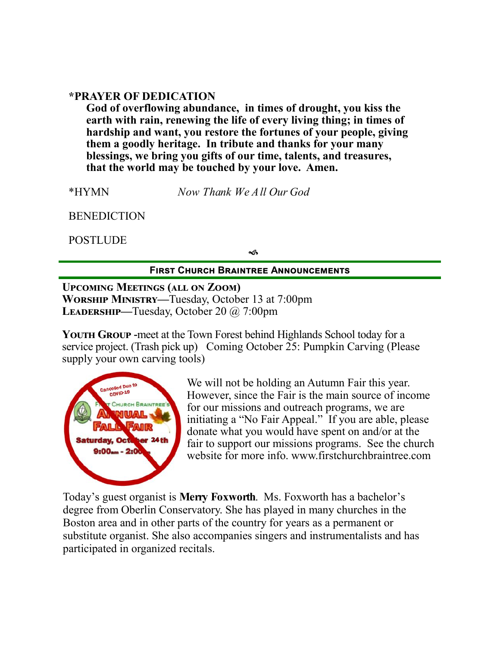## **\*PRAYER OF DEDICATION**

**God of overflowing abundance, in times of drought, you kiss the earth with rain, renewing the life of every living thing; in times of hardship and want, you restore the fortunes of your people, giving them a goodly heritage. In tribute and thanks for your many blessings, we bring you gifts of our time, talents, and treasures, that the world may be touched by your love. Amen.**

\*HYMN *Now Thank We All Our God* 

**BENEDICTION** 

**POSTLUDE** 

۰Â

## **First Church Braintree Announcements**

**Upcoming Meetings (all on Zoom) Worship Ministry—**Tuesday, October 13 at 7:00pm **Leadership—**Tuesday, October 20 @ 7:00pm

**YOUTH GROUP** - meet at the Town Forest behind Highlands School today for a service project. (Trash pick up) Coming October 25: Pumpkin Carving (Please supply your own carving tools)



We will not be holding an Autumn Fair this year. However, since the Fair is the main source of income for our missions and outreach programs, we are initiating a "No Fair Appeal." If you are able, please donate what you would have spent on and/or at the fair to support our missions programs. See the church website for more info. www.firstchurchbraintree.com

Today's guest organist is **Merry Foxworth**. Ms. Foxworth has a bachelor's degree from Oberlin Conservatory. She has played in many churches in the Boston area and in other parts of the country for years as a permanent or substitute organist. She also accompanies singers and instrumentalists and has participated in organized recitals.